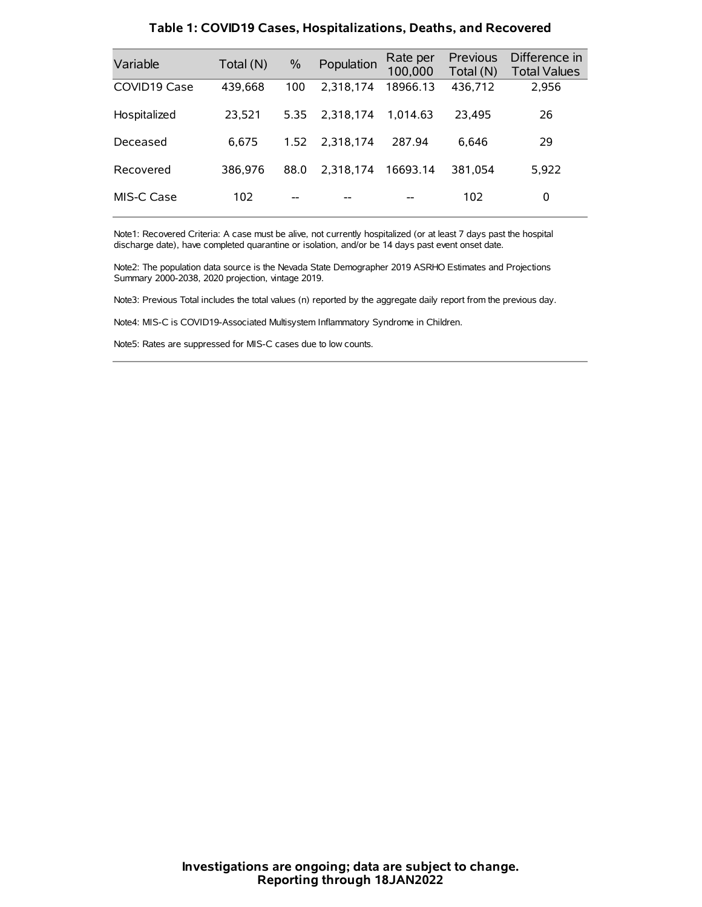| Variable     | Total (N) | $\frac{0}{0}$ | Population | Rate per<br>100,000 | Previous<br>Total (N) | Difference in<br><b>Total Values</b> |
|--------------|-----------|---------------|------------|---------------------|-----------------------|--------------------------------------|
| COVID19 Case | 439,668   | 100           | 2.318.174  | 18966.13            | 436,712               | 2,956                                |
| Hospitalized | 23,521    | 5.35          | 2.318.174  | 1.014.63            | 23.495                | 26                                   |
| Deceased     | 6.675     | 1.52          | 2.318.174  | 287.94              | 6.646                 | 29                                   |
| Recovered    | 386.976   | 88.0          | 2.318.174  | 16693.14            | 381.054               | 5,922                                |
| MIS-C Case   | 102       | --            |            |                     | 102                   | 0                                    |

#### **Table 1: COVID19 Cases, Hospitalizations, Deaths, and Recovered**

Note1: Recovered Criteria: A case must be alive, not currently hospitalized (or at least 7 days past the hospital discharge date), have completed quarantine or isolation, and/or be 14 days past event onset date.

Note2: The population data source is the Nevada State Demographer 2019 ASRHO Estimates and Projections Summary 2000-2038, 2020 projection, vintage 2019.

Note3: Previous Total includes the total values (n) reported by the aggregate daily report from the previous day.

Note4: MIS-C is COVID19-Associated Multisystem Inflammatory Syndrome in Children.

Note5: Rates are suppressed for MIS-C cases due to low counts.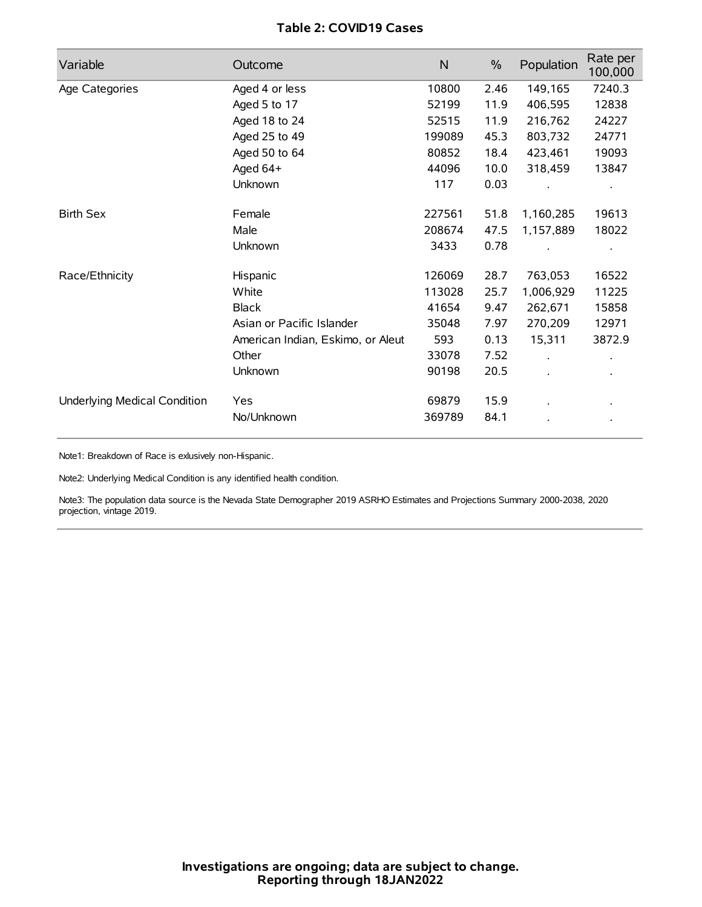# **Table 2: COVID19 Cases**

| Variable                     | Outcome                           | $\mathsf{N}$ | $\%$ | Population           | Rate per<br>100,000 |
|------------------------------|-----------------------------------|--------------|------|----------------------|---------------------|
| Age Categories               | Aged 4 or less                    | 10800        | 2.46 | 149,165              | 7240.3              |
|                              | Aged 5 to 17                      | 52199        | 11.9 | 406,595              | 12838               |
|                              | Aged 18 to 24                     | 52515        | 11.9 | 216,762              | 24227               |
|                              | Aged 25 to 49                     | 199089       | 45.3 | 803,732              | 24771               |
|                              | Aged 50 to 64                     | 80852        | 18.4 | 423,461              | 19093               |
|                              | Aged 64+                          | 44096        | 10.0 | 318,459              | 13847               |
|                              | Unknown                           | 117          | 0.03 |                      |                     |
| <b>Birth Sex</b>             | Female                            | 227561       | 51.8 | 1,160,285            | 19613               |
|                              | Male                              | 208674       | 47.5 | 1,157,889            | 18022               |
|                              | Unknown                           | 3433         | 0.78 |                      |                     |
| Race/Ethnicity               | Hispanic                          | 126069       | 28.7 | 763,053              | 16522               |
|                              | White                             | 113028       | 25.7 | 1,006,929            | 11225               |
|                              | <b>Black</b>                      | 41654        | 9.47 | 262,671              | 15858               |
|                              | Asian or Pacific Islander         | 35048        | 7.97 | 270,209              | 12971               |
|                              | American Indian, Eskimo, or Aleut | 593          | 0.13 | 15,311               | 3872.9              |
|                              | Other                             | 33078        | 7.52 | $\ddot{\phantom{0}}$ |                     |
|                              | Unknown                           | 90198        | 20.5 | ÷.                   |                     |
| Underlying Medical Condition | Yes                               | 69879        | 15.9 |                      |                     |
|                              | No/Unknown                        | 369789       | 84.1 |                      |                     |

Note1: Breakdown of Race is exlusively non-Hispanic.

Note2: Underlying Medical Condition is any identified health condition.

Note3: The population data source is the Nevada State Demographer 2019 ASRHO Estimates and Projections Summary 2000-2038, 2020 projection, vintage 2019.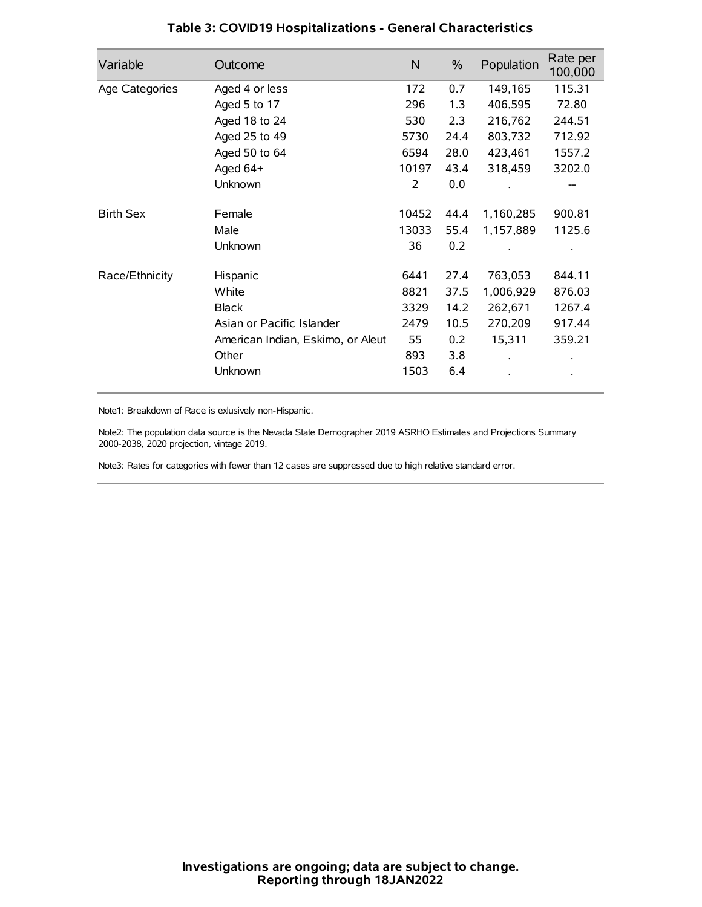| Variable         | Outcome                           | N     | $\%$ | Population | Rate per<br>100,000 |
|------------------|-----------------------------------|-------|------|------------|---------------------|
| Age Categories   | Aged 4 or less                    | 172   | 0.7  | 149,165    | 115.31              |
|                  | Aged 5 to 17                      | 296   | 1.3  | 406,595    | 72.80               |
|                  | Aged 18 to 24                     | 530   | 2.3  | 216,762    | 244.51              |
|                  | Aged 25 to 49                     | 5730  | 24.4 | 803,732    | 712.92              |
|                  | Aged 50 to 64                     | 6594  | 28.0 | 423,461    | 1557.2              |
|                  | Aged 64+                          | 10197 | 43.4 | 318,459    | 3202.0              |
|                  | Unknown                           | 2     | 0.0  |            |                     |
| <b>Birth Sex</b> | Female                            | 10452 | 44.4 | 1,160,285  | 900.81              |
|                  | Male                              | 13033 | 55.4 | 1,157,889  | 1125.6              |
|                  | Unknown                           | 36    | 0.2  |            |                     |
| Race/Ethnicity   | Hispanic                          | 6441  | 27.4 | 763,053    | 844.11              |
|                  | White                             | 8821  | 37.5 | 1,006,929  | 876.03              |
|                  | <b>Black</b>                      | 3329  | 14.2 | 262,671    | 1267.4              |
|                  | Asian or Pacific Islander         | 2479  | 10.5 | 270,209    | 917.44              |
|                  | American Indian, Eskimo, or Aleut | 55    | 0.2  | 15,311     | 359.21              |
|                  | Other                             | 893   | 3.8  |            |                     |
|                  | Unknown                           | 1503  | 6.4  |            |                     |

# **Table 3: COVID19 Hospitalizations - General Characteristics**

Note1: Breakdown of Race is exlusively non-Hispanic.

Note2: The population data source is the Nevada State Demographer 2019 ASRHO Estimates and Projections Summary 2000-2038, 2020 projection, vintage 2019.

Note3: Rates for categories with fewer than 12 cases are suppressed due to high relative standard error.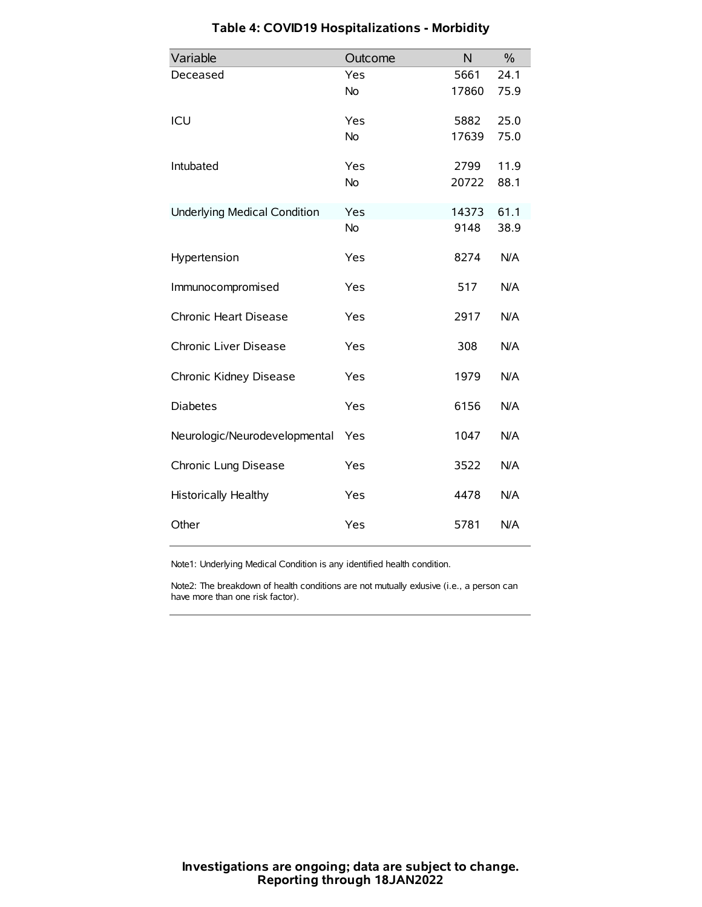| Variable                            | Outcome   | N     | $\frac{0}{0}$ |
|-------------------------------------|-----------|-------|---------------|
| Deceased                            | Yes       | 5661  | 24.1          |
|                                     | No        | 17860 | 75.9          |
| ICU                                 | Yes       | 5882  | 25.0          |
|                                     | <b>No</b> | 17639 | 75.0          |
| Intubated                           | Yes       | 2799  | 11.9          |
|                                     | No        | 20722 | 88.1          |
| <b>Underlying Medical Condition</b> | Yes       | 14373 | 61.1          |
|                                     | <b>No</b> | 9148  | 38.9          |
| Hypertension                        | Yes       | 8274  | N/A           |
| Immunocompromised                   | Yes       | 517   | N/A           |
| Chronic Heart Disease               | Yes       | 2917  | N/A           |
| Chronic Liver Disease               | Yes       | 308   | N/A           |
| Chronic Kidney Disease              | Yes       | 1979  | N/A           |
| <b>Diabetes</b>                     | Yes       | 6156  | N/A           |
| Neurologic/Neurodevelopmental       | Yes       | 1047  | N/A           |
| Chronic Lung Disease                | Yes       | 3522  | N/A           |
| Historically Healthy                | Yes       | 4478  | N/A           |
| Other                               | Yes       | 5781  | N/A           |

# **Table 4: COVID19 Hospitalizations - Morbidity**

Note1: Underlying Medical Condition is any identified health condition.

Note2: The breakdown of health conditions are not mutually exlusive (i.e., a person can have more than one risk factor).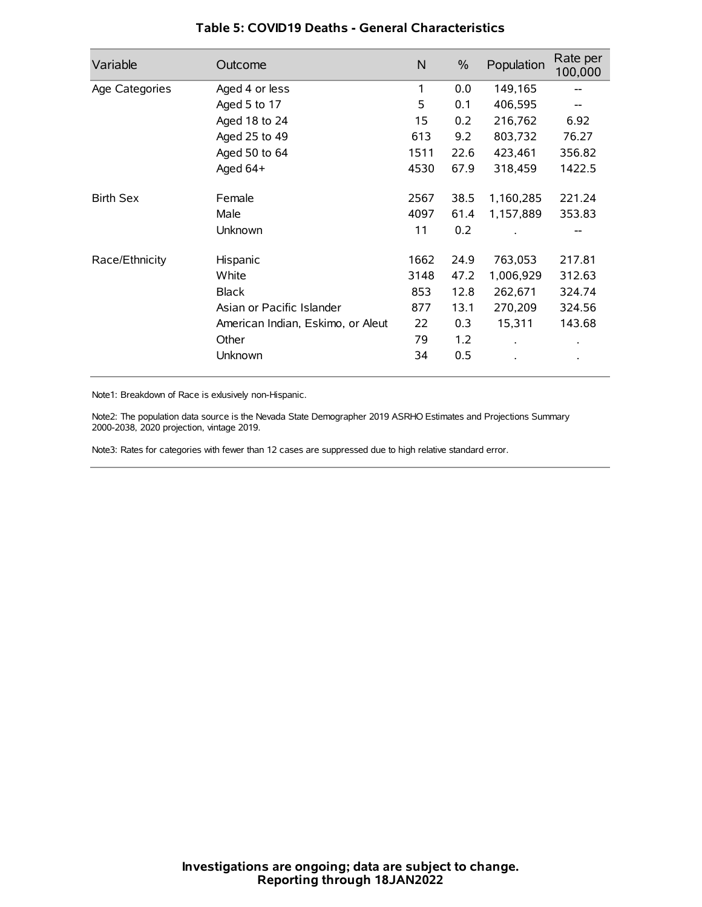| Variable         | Outcome                           | N    | $\%$ | Population | Rate per<br>100,000 |
|------------------|-----------------------------------|------|------|------------|---------------------|
| Age Categories   | Aged 4 or less                    | 1    | 0.0  | 149,165    |                     |
|                  | Aged 5 to 17                      | 5    | 0.1  | 406,595    |                     |
|                  | Aged 18 to 24                     | 15   | 0.2  | 216,762    | 6.92                |
|                  | Aged 25 to 49                     | 613  | 9.2  | 803,732    | 76.27               |
|                  | Aged 50 to 64                     | 1511 | 22.6 | 423,461    | 356.82              |
|                  | Aged 64+                          | 4530 | 67.9 | 318,459    | 1422.5              |
| <b>Birth Sex</b> | Female                            | 2567 | 38.5 | 1,160,285  | 221.24              |
|                  | Male                              | 4097 | 61.4 | 1,157,889  | 353.83              |
|                  | Unknown                           | 11   | 0.2  |            |                     |
| Race/Ethnicity   | Hispanic                          | 1662 | 24.9 | 763,053    | 217.81              |
|                  | White                             | 3148 | 47.2 | 1,006,929  | 312.63              |
|                  | <b>Black</b>                      | 853  | 12.8 | 262,671    | 324.74              |
|                  | Asian or Pacific Islander         | 877  | 13.1 | 270,209    | 324.56              |
|                  | American Indian, Eskimo, or Aleut | 22   | 0.3  | 15,311     | 143.68              |
|                  | Other                             | 79   | 1.2  |            | $\bullet$           |
|                  | Unknown                           | 34   | 0.5  |            | $\bullet$           |

## **Table 5: COVID19 Deaths - General Characteristics**

Note1: Breakdown of Race is exlusively non-Hispanic.

Note2: The population data source is the Nevada State Demographer 2019 ASRHO Estimates and Projections Summary 2000-2038, 2020 projection, vintage 2019.

Note3: Rates for categories with fewer than 12 cases are suppressed due to high relative standard error.